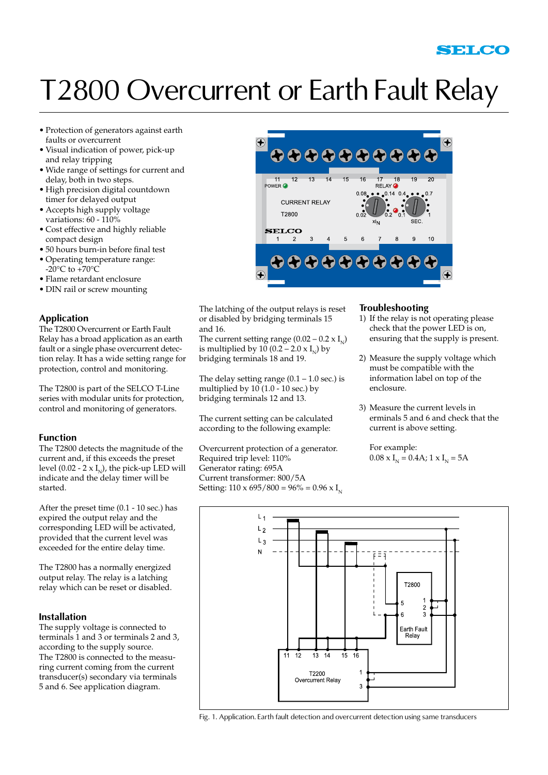## T2800 Overcurrent or Earth Fault Relay

- • Protection of generators against earth faults or overcurrent
- • Visual indication of power, pick-up and relay tripping
- • Wide range of settings for current and delay, both in two steps.
- • High precision digital countdown timer for delayed output
- • Accepts high supply voltage variations: 60 - 110%
- • Cost effective and highly reliable compact design
- • 50 hours burn-in before final test
- • Operating temperature range:  $-20^{\circ}$ C to  $+70^{\circ}$ C
- • Flame retardant enclosure
- DIN rail or screw mounting

#### **Application**

The T2800 Overcurrent or Earth Fault Relay has a broad application as an earth fault or a single phase overcurrent detection relay. It has a wide setting range for protection, control and monitoring.

The T2800 is part of the SELCO T-Line series with modular units for protection, control and monitoring of generators.

#### **Function**

The T2800 detects the magnitude of the current and, if this exceeds the preset level (0.02 - 2 x  $I_{N}$ ), the pick-up LED will indicate and the delay timer will be started.

After the preset time (0.1 - 10 sec.) has expired the output relay and the corresponding LED will be activated, provided that the current level was exceeded for the entire delay time.

The T2800 has a normally energized output relay. The relay is a latching relay which can be reset or disabled.

#### **Installation**

The supply voltage is connected to terminals 1 and 3 or terminals 2 and 3, according to the supply source. The T2800 is connected to the measuring current coming from the current transducer(s) secondary via terminals 5 and 6. See application diagram.



The latching of the output relays is reset or disabled by bridging terminals 15 and 16.

The current setting range  $(0.02 - 0.2 \times I_{\rm M})$ is multiplied by  $10 (0.2 - 2.0 \times I_{N})$  by bridging terminals 18 and 19.

The delay setting range  $(0.1 - 1.0 \text{ sec.})$  is multiplied by  $10(1.0 - 10 \text{ sec.})$  by bridging terminals 12 and 13.

The current setting can be calculated according to the following example:

Overcurrent protection of a generator. Required trip level: 110% Generator rating: 695A Current transformer: 800/5A Setting:  $110 \times 695 / 800 = 96\% = 0.96 \times I_{N}$ 

#### **Troubleshooting**

- 1) If the relay is not operating please check that the power LED is on, ensuring that the supply is present.
- 2) Measure the supply voltage which must be compatible with the information label on top of the enclosure.
- 3) Measure the current levels in erminals 5 and 6 and check that the current is above setting.

 For example:  $0.08 \times I_{N} = 0.4$ A; 1  $\times I_{N} = 5$ A



Fig. 1. Application. Earth fault detection and overcurrent detection using same transducers